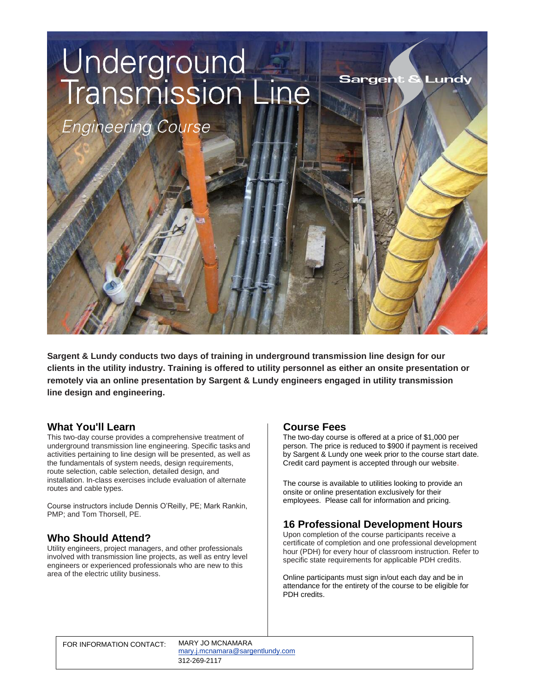# Underground<br>Transmission Line

**Engineering Course** 

**Sargent & Lundy conducts two days of training in underground transmission line design for our clients in the utility industry. Training is offered to utility personnel as either an onsite presentation or remotely via an online presentation by Sargent & Lundy engineers engaged in utility transmission line design and engineering.**

# **What You'll Learn**

This two-day course provides a comprehensive treatment of underground transmission line engineering. Specific tasks and activities pertaining to line design will be presented, as well as the fundamentals of system needs, design requirements, route selection, cable selection, detailed design, and installation. In-class exercises include evaluation of alternate routes and cable types.

Course instructors include Dennis O'Reilly, PE; Mark Rankin, PMP; and Tom Thorsell, PE.

# **Who Should Attend?**

Utility engineers, project managers, and other professionals involved with transmission line projects, as well as entry level engineers or experienced professionals who are new to this area of the electric utility business.

# **Course Fees**

The two-day course is offered at a price of \$1,000 per person. The price is reduced to \$900 if payment is received by Sargent & Lundy one week prior to the course start date. Credit card payment is accepted through our website.

**Sargent &** 

Lundv

The course is available to utilities looking to provide an onsite or online presentation exclusively for their employees. Please call for information and pricing.

# **16 Professional Development Hours**

Upon completion of the course participants receive a certificate of completion and one professional development hour (PDH) for every hour of classroom instruction. Refer to specific state requirements for applicable PDH credits.

Online participants must sign in/out each day and be in attendance for the entirety of the course to be eligible for PDH credits.

[ma](mailto:mary.j.mcnamara@sargentlundy.com)[ry.j.mcnamara@sargentlundy.c](mailto:bettie.j.kidd@sargentlundy.com)[om](mailto:mary.j.mcnamara@sargentlundy.com) 312-269-2117